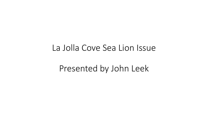### La Jolla Cove Sea Lion Issue

### Presented by John Leek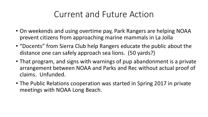### Current and Future Action

- On weekends and using overtime pay, Park Rangers are helping NOAA prevent citizens from approaching marine mammals in La Jolla
- "Docents" from Sierra Club help Rangers educate the public about the distance one can safely approach sea lions. (50 yards?)
- That program, and signs with warnings of pup abandonment is a private arrangement between NOAA and Parks and Rec without actual proof of claims. Unfunded.
- The Public Relations cooperation was started in Spring 2017 in private meetings with NOAA Long Beach.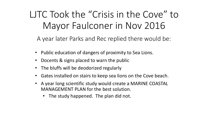# LJTC Took the "Crisis in the Cove" to Mayor Faulconer in Nov 2016

A year later Parks and Rec replied there would be:

- Public education of dangers of proximity to Sea Lions.
- Docents & signs placed to warn the public
- The bluffs will be deodorized regularly
- Gates installed on stairs to keep sea lions on the Cove beach.
- A year long scientific study would create a MARINE COASTAL MANAGEMENT PLAN for the best solution.
	- The study happened. The plan did not.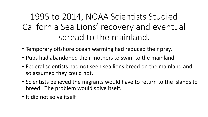1995 to 2014, NOAA Scientists Studied California Sea Lions' recovery and eventual spread to the mainland.

- Temporary offshore ocean warming had reduced their prey.
- Pups had abandoned their mothers to swim to the mainland.
- Federal scientists had not seen sea lions breed on the mainland and so assumed they could not.
- Scientists believed the migrants would have to return to the islands to breed. The problem would solve itself.
- It did not solve itself.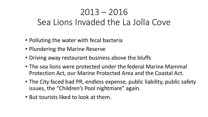## 2013 – 2016 Sea Lions Invaded the La Jolla Cove

- Polluting the water with fecal bacteria
- Plundering the Marine Reserve
- Driving away restaurant business above the bluffs
- The sea lions were protected under the federal Marine Mammal Protection Act, our Marine Protected Area and the Coastal Act.
- The City faced bad PR, endless expense, public liability, public safety issues, the "Children's Pool nightmare" again.
- But tourists liked to look at them.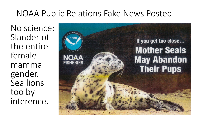### NOAA Public Relations Fake News Posted

No science: Slander of the entire female mammal gender. Sea lions too by inference.

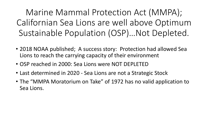Marine Mammal Protection Act (MMPA); Californian Sea Lions are well above Optimum Sustainable Population (OSP)…Not Depleted.

- 2018 NOAA published; A success story: Protection had allowed Sea Lions to reach the carrying capacity of their environment
- OSP reached in 2000: Sea Lions were NOT DEPLETED
- Last determined in 2020 Sea Lions are not a Strategic Stock
- The "MMPA Moratorium on Take" of 1972 has no valid application to Sea Lions.